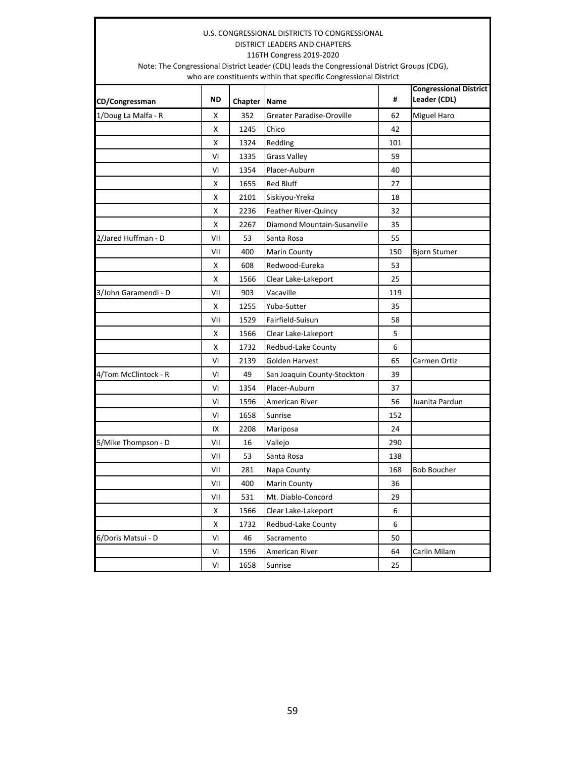|                                                                                                   |           |         | U.S. CONGRESSIONAL DISTRICTS TO CONGRESSIONAL                                                |     |                     |  |
|---------------------------------------------------------------------------------------------------|-----------|---------|----------------------------------------------------------------------------------------------|-----|---------------------|--|
|                                                                                                   |           |         | <b>DISTRICT LEADERS AND CHAPTERS</b>                                                         |     |                     |  |
|                                                                                                   |           |         | 116TH Congress 2019-2020                                                                     |     |                     |  |
|                                                                                                   |           |         | Note: The Congressional District Leader (CDL) leads the Congressional District Groups (CDG), |     |                     |  |
| who are constituents within that specific Congressional District<br><b>Congressional District</b> |           |         |                                                                                              |     |                     |  |
| CD/Congressman                                                                                    | <b>ND</b> | Chapter | Name                                                                                         | #   | Leader (CDL)        |  |
| 1/Doug La Malfa - R                                                                               | х         | 352     | Greater Paradise-Oroville                                                                    | 62  | Miguel Haro         |  |
|                                                                                                   | Χ         | 1245    | Chico                                                                                        | 42  |                     |  |
|                                                                                                   | X         | 1324    | Redding                                                                                      | 101 |                     |  |
|                                                                                                   | VI        | 1335    | <b>Grass Valley</b>                                                                          | 59  |                     |  |
|                                                                                                   | VI        | 1354    | Placer-Auburn                                                                                | 40  |                     |  |
|                                                                                                   | X         | 1655    | <b>Red Bluff</b>                                                                             | 27  |                     |  |
|                                                                                                   | х         | 2101    | Siskiyou-Yreka                                                                               | 18  |                     |  |
|                                                                                                   | X         | 2236    | Feather River-Quincy                                                                         | 32  |                     |  |
|                                                                                                   | х         | 2267    | Diamond Mountain-Susanville                                                                  | 35  |                     |  |
| 2/Jared Huffman - D                                                                               | VII       | 53      | Santa Rosa                                                                                   | 55  |                     |  |
|                                                                                                   | VII       | 400     | <b>Marin County</b>                                                                          | 150 | <b>Bjorn Stumer</b> |  |
|                                                                                                   | х         | 608     | Redwood-Eureka                                                                               | 53  |                     |  |
|                                                                                                   | Χ         | 1566    | Clear Lake-Lakeport                                                                          | 25  |                     |  |
| 3/John Garamendi - D                                                                              | VII       | 903     | Vacaville                                                                                    | 119 |                     |  |
|                                                                                                   | х         | 1255    | Yuba-Sutter                                                                                  | 35  |                     |  |
|                                                                                                   | VII       | 1529    | Fairfield-Suisun                                                                             | 58  |                     |  |
|                                                                                                   | х         | 1566    | Clear Lake-Lakeport                                                                          | 5   |                     |  |
|                                                                                                   | Χ         | 1732    | Redbud-Lake County                                                                           | 6   |                     |  |
|                                                                                                   | VI        | 2139    | Golden Harvest                                                                               | 65  | Carmen Ortiz        |  |
| 4/Tom McClintock - R                                                                              | VI        | 49      | San Joaquin County-Stockton                                                                  | 39  |                     |  |
|                                                                                                   | VI        | 1354    | Placer-Auburn                                                                                | 37  |                     |  |
|                                                                                                   | VI        | 1596    | American River                                                                               | 56  | Juanita Pardun      |  |
|                                                                                                   | VI        | 1658    | Sunrise                                                                                      | 152 |                     |  |
|                                                                                                   | IX        | 2208    | Mariposa                                                                                     | 24  |                     |  |
| 5/Mike Thompson - D                                                                               | VII       | 16      | Vallejo                                                                                      | 290 |                     |  |
|                                                                                                   | VII       | 53      | Santa Rosa                                                                                   | 138 |                     |  |
|                                                                                                   | VII       | 281     | Napa County                                                                                  | 168 | <b>Bob Boucher</b>  |  |
|                                                                                                   | VII       | 400     | Marin County                                                                                 | 36  |                     |  |
|                                                                                                   | VII       | 531     | Mt. Diablo-Concord                                                                           | 29  |                     |  |
|                                                                                                   | X         | 1566    | Clear Lake-Lakeport                                                                          | 6   |                     |  |
|                                                                                                   | х         | 1732    | Redbud-Lake County                                                                           | 6   |                     |  |
| 6/Doris Matsui - D                                                                                | VI        | 46      | Sacramento                                                                                   | 50  |                     |  |
|                                                                                                   | VI        | 1596    | American River                                                                               | 64  | Carlin Milam        |  |
|                                                                                                   | VI        | 1658    | Sunrise                                                                                      | 25  |                     |  |

 $\blacksquare$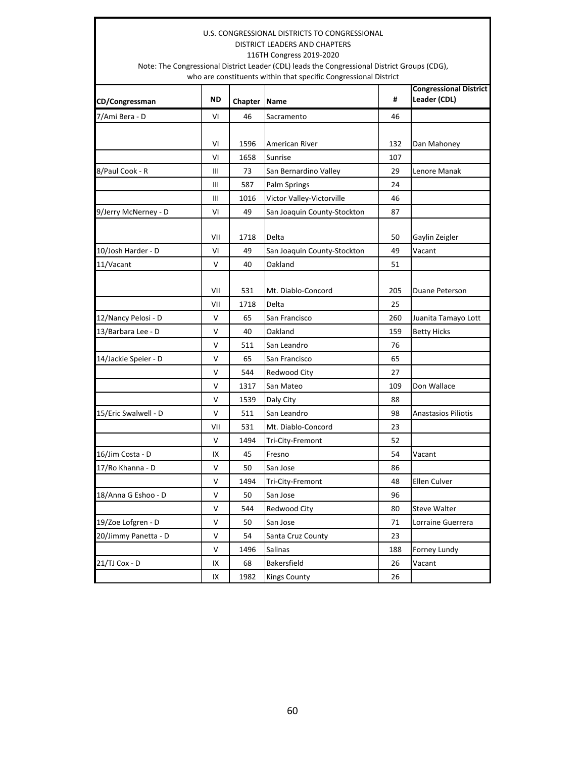|                      |           |              | U.S. CONGRESSIONAL DISTRICTS TO CONGRESSIONAL                                                                            |     |                               |
|----------------------|-----------|--------------|--------------------------------------------------------------------------------------------------------------------------|-----|-------------------------------|
|                      |           |              | DISTRICT LEADERS AND CHAPTERS                                                                                            |     |                               |
|                      |           |              | 116TH Congress 2019-2020<br>Note: The Congressional District Leader (CDL) leads the Congressional District Groups (CDG), |     |                               |
|                      |           |              | who are constituents within that specific Congressional District                                                         |     |                               |
|                      |           |              |                                                                                                                          |     | <b>Congressional District</b> |
| CD/Congressman       | <b>ND</b> | Chapter Name |                                                                                                                          | #   | Leader (CDL)                  |
| 7/Ami Bera - D       | VI        | 46           | Sacramento                                                                                                               | 46  |                               |
|                      |           |              |                                                                                                                          |     |                               |
|                      | ٧ı        | 1596         | American River                                                                                                           | 132 | Dan Mahoney                   |
|                      | VI        | 1658         | Sunrise                                                                                                                  | 107 |                               |
| 8/Paul Cook - R      | Ш         | 73           | San Bernardino Valley                                                                                                    | 29  | Lenore Manak                  |
|                      | Ш         | 587          | Palm Springs                                                                                                             | 24  |                               |
|                      | Ш         | 1016         | Victor Valley-Victorville                                                                                                | 46  |                               |
| 9/Jerry McNerney - D | VI        | 49           | San Joaquin County-Stockton                                                                                              | 87  |                               |
|                      |           |              |                                                                                                                          |     |                               |
|                      | VII       | 1718         | Delta                                                                                                                    | 50  | Gaylin Zeigler                |
| 10/Josh Harder - D   | ۷ı        | 49           | San Joaquin County-Stockton                                                                                              | 49  | Vacant                        |
| 11/Vacant            | v         | 40           | Oakland                                                                                                                  | 51  |                               |
|                      |           |              |                                                                                                                          |     |                               |
|                      | VII       | 531          | Mt. Diablo-Concord                                                                                                       | 205 | Duane Peterson                |
|                      | VII       | 1718         | Delta                                                                                                                    | 25  |                               |
| 12/Nancy Pelosi - D  | v         | 65           | San Francisco                                                                                                            | 260 | Juanita Tamayo Lott           |
| 13/Barbara Lee - D   | v         | 40           | Oakland                                                                                                                  | 159 | <b>Betty Hicks</b>            |
|                      | V         | 511          | San Leandro                                                                                                              | 76  |                               |
| 14/Jackie Speier - D | V         | 65           | San Francisco                                                                                                            | 65  |                               |
|                      | V         | 544          | Redwood City                                                                                                             | 27  |                               |
|                      | V         | 1317         | San Mateo                                                                                                                | 109 | Don Wallace                   |
|                      | V         | 1539         | Daly City                                                                                                                | 88  |                               |
| 15/Eric Swalwell - D | v         | 511          | San Leandro                                                                                                              | 98  | <b>Anastasios Piliotis</b>    |
|                      | VII       | 531          | Mt. Diablo-Concord                                                                                                       | 23  |                               |
|                      | v         | 1494         | Tri-City-Fremont                                                                                                         | 52  |                               |
| 16/Jim Costa - D     | IX        | 45           | Fresno                                                                                                                   | 54  | Vacant                        |
| 17/Ro Khanna - D     | ٧         | 50           | San Jose                                                                                                                 | 86  |                               |
|                      | V         | 1494         | Tri-City-Fremont                                                                                                         | 48  | Ellen Culver                  |
| 18/Anna G Eshoo - D  | V         | 50           | San Jose                                                                                                                 | 96  |                               |
|                      | Λ         | 544          | Redwood City                                                                                                             | 80  | <b>Steve Walter</b>           |
| 19/Zoe Lofgren - D   | V         | 50           | San Jose                                                                                                                 | 71  | Lorraine Guerrera             |
| 20/Jimmy Panetta - D | Λ         | 54           | Santa Cruz County                                                                                                        | 23  |                               |
|                      | V         | 1496         | Salinas                                                                                                                  | 188 | Forney Lundy                  |
| 21/TJ Cox - D        | IX        | 68           | Bakersfield                                                                                                              | 26  | Vacant                        |
|                      | IX        | 1982         | <b>Kings County</b>                                                                                                      | 26  |                               |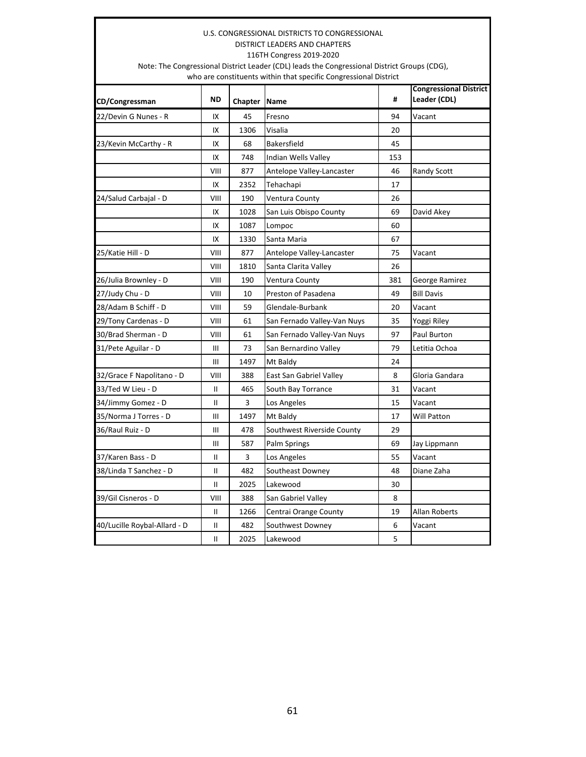## U.S. CONGRESSIONAL DISTRICTS TO CONGRESSIONAL DISTRICT LEADERS AND CHAPTERS 116TH Congress 2019-2020

Note: The Congressional District Leader (CDL) leads the Congressional District Groups (CDG), who are constituents within that specific Congressional District

| CD/Congressman               | <b>ND</b> | Chapter | Name                        | #   | <b>Congressional District</b><br>Leader (CDL) |
|------------------------------|-----------|---------|-----------------------------|-----|-----------------------------------------------|
| 22/Devin G Nunes - R         | IX        | 45      | Fresno                      | 94  | Vacant                                        |
|                              | IX        | 1306    | Visalia                     | 20  |                                               |
| 23/Kevin McCarthy - R        | IX        | 68      | Bakersfield                 | 45  |                                               |
|                              | IX        | 748     | Indian Wells Valley         | 153 |                                               |
|                              | VIII      | 877     | Antelope Valley-Lancaster   | 46  | <b>Randy Scott</b>                            |
|                              | IX        | 2352    | Tehachapi                   | 17  |                                               |
| 24/Salud Carbajal - D        | VIII      | 190     | Ventura County              | 26  |                                               |
|                              | IX        | 1028    | San Luis Obispo County      | 69  | David Akey                                    |
|                              | IX        | 1087    | Lompoc                      | 60  |                                               |
|                              | IX        | 1330    | Santa Maria                 | 67  |                                               |
| 25/Katie Hill - D            | VIII      | 877     | Antelope Valley-Lancaster   | 75  | Vacant                                        |
|                              | VIII      | 1810    | Santa Clarita Valley        | 26  |                                               |
| 26/Julia Brownley - D        | VIII      | 190     | Ventura County              | 381 | George Ramirez                                |
| 27/Judy Chu - D              | VIII      | 10      | Preston of Pasadena         | 49  | <b>Bill Davis</b>                             |
| 28/Adam B Schiff - D         | VIII      | 59      | Glendale-Burbank            | 20  | Vacant                                        |
| 29/Tony Cardenas - D         | VIII      | 61      | San Fernado Valley-Van Nuys | 35  | Yoggi Riley                                   |
| 30/Brad Sherman - D          | VIII      | 61      | San Fernado Valley-Van Nuys | 97  | Paul Burton                                   |
| 31/Pete Aguilar - D          | Ш         | 73      | San Bernardino Valley       | 79  | Letitia Ochoa                                 |
|                              | Ш         | 1497    | Mt Baldy                    | 24  |                                               |
| 32/Grace F Napolitano - D    | VIII      | 388     | East San Gabriel Valley     | 8   | Gloria Gandara                                |
| 33/Ted W Lieu - D            | Ш         | 465     | South Bay Torrance          | 31  | Vacant                                        |
| 34/Jimmy Gomez - D           | Ш         | 3       | Los Angeles                 | 15  | Vacant                                        |
| 35/Norma J Torres - D        | Ш         | 1497    | Mt Baldy                    | 17  | <b>Will Patton</b>                            |
| 36/Raul Ruiz - D             | Ш         | 478     | Southwest Riverside County  | 29  |                                               |
|                              | Ш         | 587     | Palm Springs                | 69  | Jay Lippmann                                  |
| 37/Karen Bass - D            | Ш         | 3       | Los Angeles                 | 55  | Vacant                                        |
| 38/Linda T Sanchez - D       | Ш         | 482     | Southeast Downey            | 48  | Diane Zaha                                    |
|                              | Ш         | 2025    | Lakewood                    | 30  |                                               |
| 39/Gil Cisneros - D          | VIII      | 388     | San Gabriel Valley          | 8   |                                               |
|                              | Ш         | 1266    | Centrai Orange County       | 19  | <b>Allan Roberts</b>                          |
| 40/Lucille Roybal-Allard - D | II        | 482     | Southwest Downey            | 6   | Vacant                                        |
|                              | Ш         | 2025    | Lakewood                    | 5   |                                               |